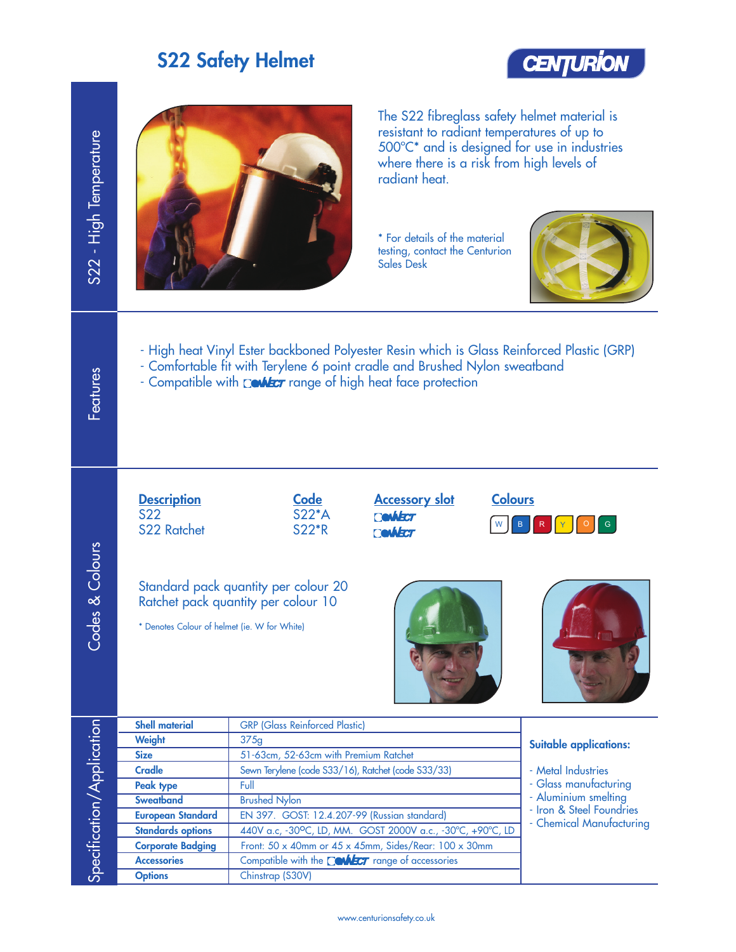#### S22 Safety Helmet





The S22 fibreglass safety helmet material is resistant to radiant temperatures of up to 500ºC\* and is designed for use in industries where there is a risk from high levels of radiant heat.

\* For details of the material testing, contact the Centurion Sales Desk



- High heat Vinyl Ester backboned Polyester Resin which is Glass Reinforced Plastic (GRP)
- Comfortable fit with Terylene 6 point cradle and Brushed Nylon sweatband
- Compatible with **Context** range of high heat face protection







| S22 - High Temperature    |                                                                                                                                                                                                                                         | resistant to radiant temperatures of up to<br>500°C* and is designed for use in industries<br>where there is a risk from high levels of<br>radiant heat.<br>* For details of the material<br>testing, contact the Centurion<br><b>Sales Desk</b> |                                             |  |  |  |  |
|---------------------------|-----------------------------------------------------------------------------------------------------------------------------------------------------------------------------------------------------------------------------------------|--------------------------------------------------------------------------------------------------------------------------------------------------------------------------------------------------------------------------------------------------|---------------------------------------------|--|--|--|--|
| <b>Features</b>           | - High heat Vinyl Ester backboned Polyester Resin which is Glass Reinforced Plastic (GRP)<br>- Comfortable fit with Terylene 6 point cradle and Brushed Nylon sweatband<br>- Compatible with Context range of high heat face protection |                                                                                                                                                                                                                                                  |                                             |  |  |  |  |
| Codes & Colours           | <b>Description</b><br><b>S22</b><br><b>S22 Ratchet</b><br>* Denotes Colour of helmet (ie. W for White)                                                                                                                                  | <b>Colours</b><br><b>Code</b><br><b>Accessory slot</b><br>$S22*A$<br><b>Cevideor</b><br><b>S22*R</b><br><b>Ceykecr</b><br>Standard pack quantity per colour 20<br>Ratchet pack quantity per colour 10                                            | G                                           |  |  |  |  |
|                           | <b>Shell material</b>                                                                                                                                                                                                                   | <b>GRP</b> (Glass Reinforced Plastic)                                                                                                                                                                                                            |                                             |  |  |  |  |
| Specification/Application | Weight                                                                                                                                                                                                                                  | 375g                                                                                                                                                                                                                                             | <b>Suitable applications:</b>               |  |  |  |  |
|                           | <b>Size</b>                                                                                                                                                                                                                             | 51-63cm, 52-63cm with Premium Ratchet                                                                                                                                                                                                            |                                             |  |  |  |  |
|                           | <b>Cradle</b><br>Peak type                                                                                                                                                                                                              | Sewn Terylene (code S33/16), Ratchet (code S33/33)<br>Full                                                                                                                                                                                       | - Metal Industries<br>- Glass manufacturing |  |  |  |  |
|                           | <b>Sweatband</b>                                                                                                                                                                                                                        | <b>Brushed Nylon</b>                                                                                                                                                                                                                             | - Aluminium smelting                        |  |  |  |  |
|                           | <b>European Standard</b>                                                                                                                                                                                                                | EN 397. GOST: 12.4.207-99 (Russian standard)                                                                                                                                                                                                     | - Iron & Steel Foundries                    |  |  |  |  |
|                           | <b>Standards options</b>                                                                                                                                                                                                                | 440V a.c, -30°C, LD, MM. GOST 2000V a.c., -30°C, +90°C, LD                                                                                                                                                                                       | - Chemical Manufacturing                    |  |  |  |  |
|                           | <b>Corporate Badging</b>                                                                                                                                                                                                                | Front: 50 x 40mm or 45 x 45mm, Sides/Rear: 100 x 30mm                                                                                                                                                                                            |                                             |  |  |  |  |
|                           | <b>Accessories</b>                                                                                                                                                                                                                      | Compatible with the Couler range of accessories                                                                                                                                                                                                  |                                             |  |  |  |  |
|                           | <b>Options</b>                                                                                                                                                                                                                          | Chinstrap (S30V)                                                                                                                                                                                                                                 |                                             |  |  |  |  |
|                           |                                                                                                                                                                                                                                         |                                                                                                                                                                                                                                                  |                                             |  |  |  |  |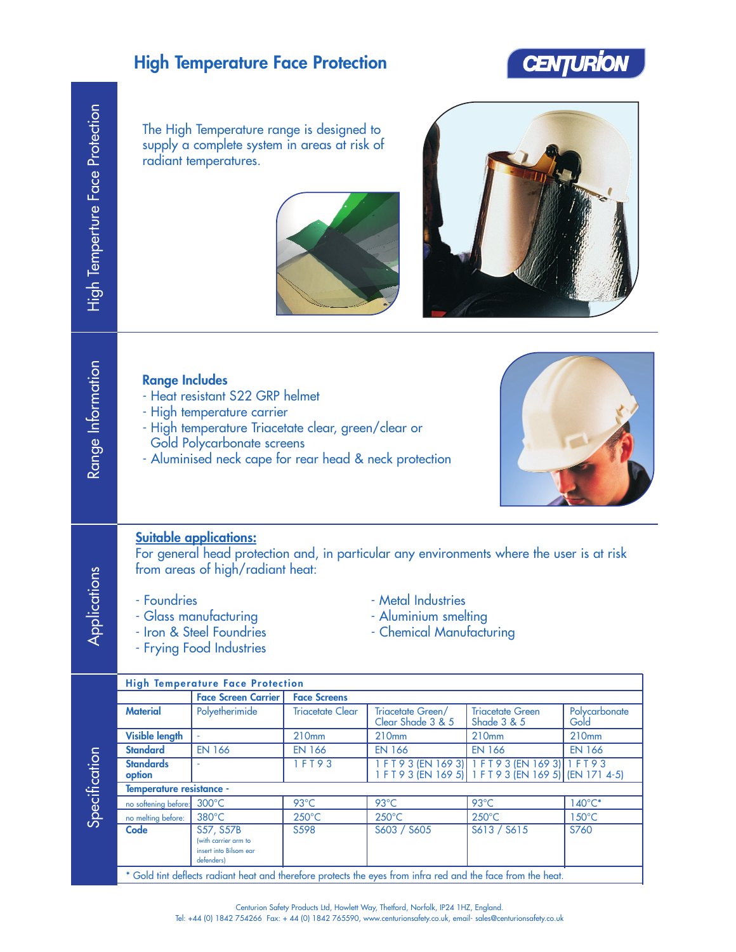## High Temperature Face Protection



The High Temperature range is designed to supply a complete system in areas at risk of radiant temperatures.





| <b>Range Includes</b><br>- Heat resistant S22 GRP helmet<br>- High temperature carrier<br>- High temperature Triacetate clear, green/clear or<br><b>Gold Polycarbonate screens</b><br>- Aluminised neck cape for rear head & neck protection |  |
|----------------------------------------------------------------------------------------------------------------------------------------------------------------------------------------------------------------------------------------------|--|
| suitable applications:<br>for general head protection and, in particular any environments where the user is at risk<br>rom areas of high/radiant heat:                                                                                       |  |



#### **Suitable a**<br>For gener from area

Applications

- Foundries Metal Industries
- 
- Frying Food Industries
- 
- Glass manufacturing<br>- Iron & Steel Foundries Aluminium smelting<br>- Chemical Manufacture
	- Chemical Manufacturing

|               | <b>High Temperature Face Protection</b>                                                                      |                                                                           |                         |                                        |                                                                                                            |                       |  |
|---------------|--------------------------------------------------------------------------------------------------------------|---------------------------------------------------------------------------|-------------------------|----------------------------------------|------------------------------------------------------------------------------------------------------------|-----------------------|--|
|               |                                                                                                              | <b>Face Screen Carrier</b>                                                | <b>Face Screens</b>     |                                        |                                                                                                            |                       |  |
| Specification | <b>Material</b>                                                                                              | Polyetherimide                                                            | <b>Triacetate Clear</b> | Triacetate Green/<br>Clear Shade 3 & 5 | <b>Trigcetate Green</b><br>Shade 3 & 5                                                                     | Polycarbonate<br>Gold |  |
|               | <b>Visible length</b>                                                                                        |                                                                           | 210mm                   | 210mm                                  | 210 <sub>mm</sub>                                                                                          | 210mm                 |  |
|               | <b>Standard</b>                                                                                              | <b>EN 166</b>                                                             | <b>EN 166</b>           | <b>EN 166</b>                          | <b>EN 166</b>                                                                                              | <b>EN 166</b>         |  |
|               | <b>Standards</b><br>option                                                                                   |                                                                           | 1 F T 9 3               |                                        | 1 FT 9 3 (EN 169 3) 1 FT 9 3 (EN 169 3) 1 FT 9 3<br>1 F T 9 3 (EN 169 5) 1 F T 9 3 (EN 169 5) (EN 171 4-5) |                       |  |
|               | Temperature resistance -                                                                                     |                                                                           |                         |                                        |                                                                                                            |                       |  |
|               | no softening before:                                                                                         | $300^{\circ}$ C                                                           | $93^{\circ}$ C          | $93^{\circ}$ C                         | $93^{\circ}$ C                                                                                             | $140^{\circ}$ C*      |  |
|               | no melting before:                                                                                           | $380^{\circ}$ C                                                           | $250^{\circ}$ C         | $250^{\circ}$ C                        | $250^{\circ}$ C                                                                                            | $150^{\circ}$ C       |  |
|               | Code                                                                                                         | S57, S57B<br>(with carrier arm to<br>insert into Bilsom ear<br>defenders) | S598                    | S603 / S605                            | S613 / S615                                                                                                | S760                  |  |
|               | * Gold tint deflects radiant heat and therefore protects the eyes from infra red and the face from the heat. |                                                                           |                         |                                        |                                                                                                            |                       |  |